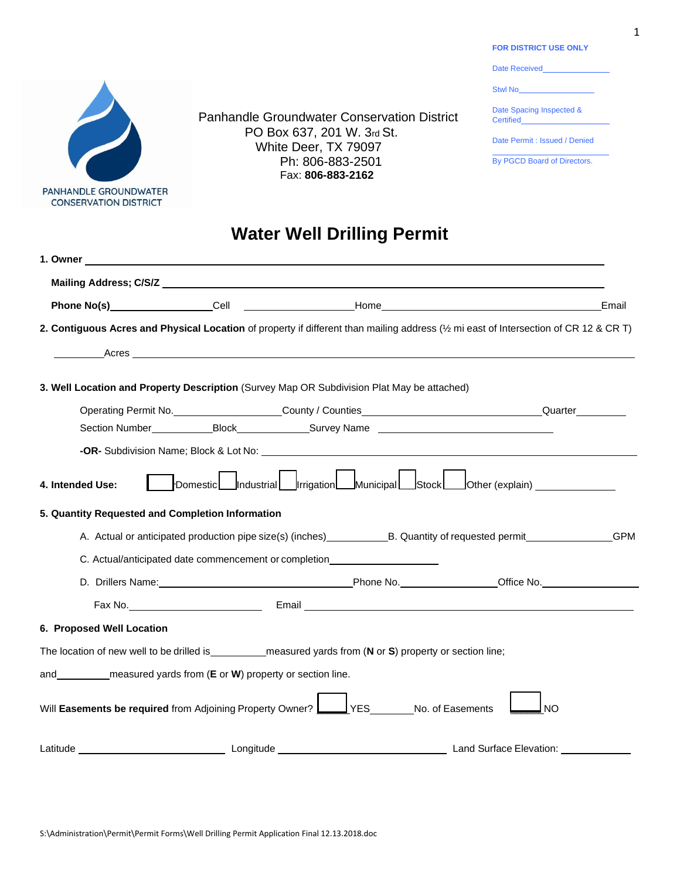PANHANDLE GROUNDWATER **CONSERVATION DISTRICT** 

Panhandle Groundwater Conservation District PO Box 637, 201 W. 3rd St. White Deer, TX 79097 Ph: 806-883-2501 Fax: **806-883-2162**

**FOR DISTRICT USE ONLY**

Date Received\_ Stwl No\_ Date Spacing Inspected & Certified Date Permit : Issued / Denied

By PGCD Board of Directors.

## **Water Well Drilling Permit**

|                           |                                                                                                                                                                                                                                       |                             |                                                                | Email |
|---------------------------|---------------------------------------------------------------------------------------------------------------------------------------------------------------------------------------------------------------------------------------|-----------------------------|----------------------------------------------------------------|-------|
|                           | 2. Contiguous Acres and Physical Location of property if different than mailing address (1/2 mi east of Intersection of CR 12 & CR T)                                                                                                 |                             |                                                                |       |
|                           |                                                                                                                                                                                                                                       |                             |                                                                |       |
|                           | 3. Well Location and Property Description (Survey Map OR Subdivision Plat May be attached)                                                                                                                                            |                             |                                                                |       |
|                           | Operating Permit No. _____________________County / Counties__________________________________Quarter_________                                                                                                                         |                             |                                                                |       |
|                           |                                                                                                                                                                                                                                       |                             |                                                                |       |
|                           | <b>-OR-</b> Subdivision Name; Block & Lot No: <b>Analyzing the Contract Study of Analyzing Systems</b>                                                                                                                                |                             |                                                                |       |
| 4. Intended Use:          | 5. Quantity Requested and Completion Information<br>A. Actual or anticipated production pipe size(s) (inches) B. Quantity of requested permit GPM<br>C. Actual/anticipated date commencement or completion___________________________ |                             | Domestic Industrial Irrigation Municipal Stock Other (explain) |       |
|                           | D. Drillers Name: Contract Development Contract Development Phone No. Contract Development Contract Development Contract Development Contract Development Contract Development Contract Development Contract Development Contr        |                             |                                                                |       |
|                           |                                                                                                                                                                                                                                       |                             |                                                                |       |
| 6. Proposed Well Location |                                                                                                                                                                                                                                       |                             |                                                                |       |
|                           | The location of new well to be drilled is ____________ measured yards from (N or S) property or section line;                                                                                                                         |                             |                                                                |       |
|                           | and __________ measured yards from (E or W) property or section line.                                                                                                                                                                 |                             |                                                                |       |
|                           | Will Easements be required from Adjoining Property Owner?                                                                                                                                                                             | YES _______No. of Easements | <b>NO</b>                                                      |       |
|                           |                                                                                                                                                                                                                                       |                             |                                                                |       |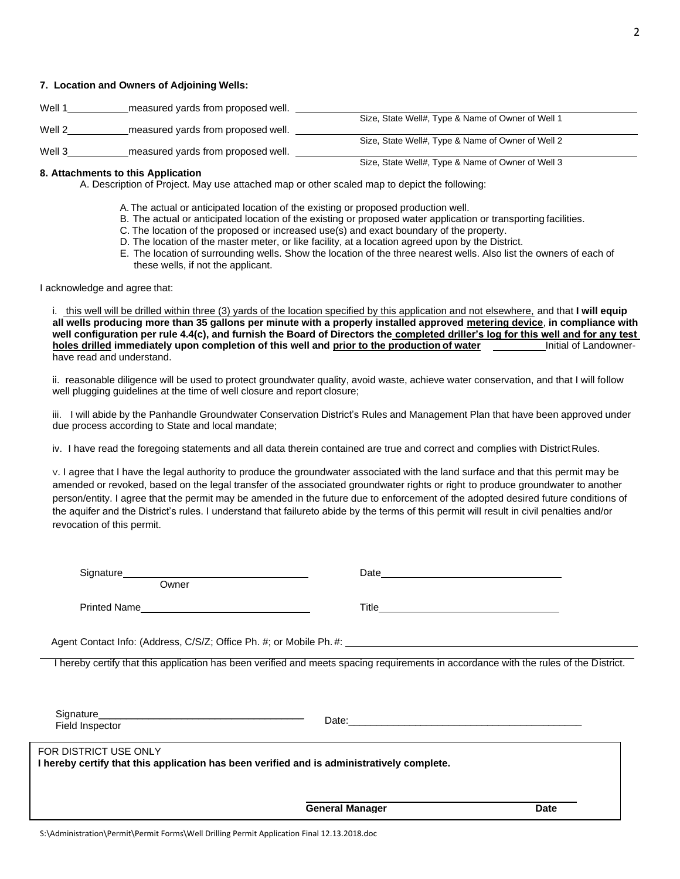#### **7. Location and Owners of Adjoining Wells:**

| Well 1 | measured yards from proposed well. |                                                   |
|--------|------------------------------------|---------------------------------------------------|
|        |                                    | Size, State Well#, Type & Name of Owner of Well 1 |
| Well 2 | measured yards from proposed well. |                                                   |
|        |                                    | Size, State Well#, Type & Name of Owner of Well 2 |
| Well 3 | measured yards from proposed well. |                                                   |

#### **8. Attachments to this Application**

A. Description of Project. May use attached map or other scaled map to depict the following:

- A.The actual or anticipated location of the existing or proposed production well.
- B. The actual or anticipated location of the existing or proposed water application or transporting facilities.
- C. The location of the proposed or increased use(s) and exact boundary of the property.
- D. The location of the master meter, or like facility, at a location agreed upon by the District.
- E. The location of surrounding wells. Show the location of the three nearest wells. Also list the owners of each of these wells, if not the applicant.

Size, State Well#, Type & Name of Owner of Well 3

I acknowledge and agree that:

i. this well will be drilled within three (3) yards of the location specified by this application and not elsewhere, and that **I will equip all wells producing more than 35 gallons per minute with a properly installed approved metering device**, **in compliance with well configuration per rule 4.4(c), and furnish the Board of Directors the completed driller's log for this well and for any test holes drilled immediately upon completion of this well and prior to the production of water** Initial of Landownerhave read and understand.

ii. reasonable diligence will be used to protect groundwater quality, avoid waste, achieve water conservation, and that I will follow well plugging guidelines at the time of well closure and report closure;

iii. I will abide by the Panhandle Groundwater Conservation District's Rules and Management Plan that have been approved under due process according to State and local mandate;

iv. I have read the foregoing statements and all data therein contained are true and correct and complies with DistrictRules.

V. I agree that I have the legal authority to produce the groundwater associated with the land surface and that this permit may be amended or revoked, based on the legal transfer of the associated groundwater rights or right to produce groundwater to another person/entity. I agree that the permit may be amended in the future due to enforcement of the adopted desired future conditions of the aquifer and the District's rules. I understand that failureto abide by the terms of this permit will result in civil penalties and/or revocation of this permit.

| Owner                                                                                       |                                                                                                                                                                                                                    |             |
|---------------------------------------------------------------------------------------------|--------------------------------------------------------------------------------------------------------------------------------------------------------------------------------------------------------------------|-------------|
|                                                                                             |                                                                                                                                                                                                                    |             |
|                                                                                             | Agent Contact Info: (Address, C/S/Z; Office Ph. #; or Mobile Ph. #: \\condend{\bmat{\bmat{i}}}}}                                                                                                                   |             |
|                                                                                             | I hereby certify that this application has been verified and meets spacing requirements in accordance with the rules of the District.                                                                              |             |
| Field Inspector                                                                             |                                                                                                                                                                                                                    |             |
| FOR DISTRICT USE ONLY                                                                       | <u> 1989 - Andrea Santa Andrea Andrea Andrea Andrea Andrea Andrea Andrea Andrea Andrea Andrea Andrea Andrea Andr</u><br>I hereby certify that this application has been verified and is administratively complete. |             |
|                                                                                             | <b>General Manager</b>                                                                                                                                                                                             | <b>Date</b> |
| S:\Administration\Permit\Permit Forms\Well Drilling Permit Application Final 12.13.2018.doc |                                                                                                                                                                                                                    |             |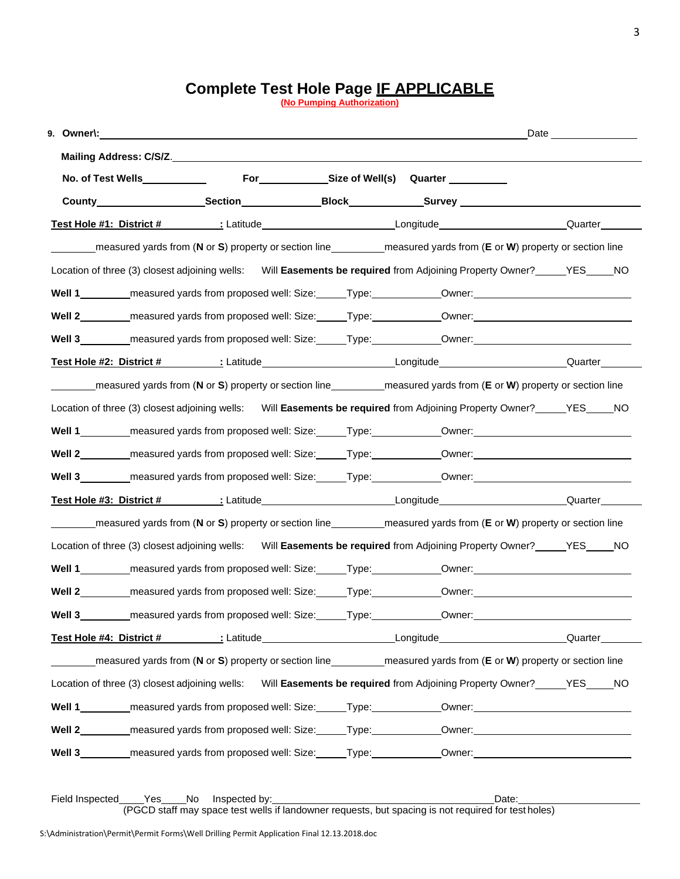#### 3

## **Complete Test Hole Page IF APPLICABLE**

**(No Pumping Authorization)**

| Test Hole #1: District # 1. 2010 12 Latitude 1. 2010 12 Longitude 1. 2010 12 Longitude 1. 2012 12 Longitude 1                                                           |                                                                                                                |  |
|-------------------------------------------------------------------------------------------------------------------------------------------------------------------------|----------------------------------------------------------------------------------------------------------------|--|
| measured yards from (N or S) property or section line<br>measured yards from (E or W) property or section line                                                          |                                                                                                                |  |
| Location of three (3) closest adjoining wells: Will Easements be required from Adjoining Property Owner?_____YES____NO                                                  |                                                                                                                |  |
| Well 1___________measured yards from proposed well: Size:______Type:___________Owner:_________________________                                                          |                                                                                                                |  |
| Well 2__________measured yards from proposed well: Size:______Type:___________Owner:__________________________                                                          |                                                                                                                |  |
| Well 3__________ measured yards from proposed well: Size: _____Type: ___________Owner: _______________________                                                          |                                                                                                                |  |
| Test Hole #2: District # 1. 1 Latitude 1. 1 Latitude 1. 1 Longitude 1. 1 Longitude 1. 1 Cuarter 1. 1 Longitude                                                          |                                                                                                                |  |
| measured yards from (N or S) property or section line<br>measured yards from (E or W) property or section line                                                          |                                                                                                                |  |
| Location of three (3) closest adjoining wells: Will Easements be required from Adjoining Property Owner?_____YES____NO                                                  |                                                                                                                |  |
| Well 1__________measured yards from proposed well: Size:______Type:___________Owner:__________________________                                                          |                                                                                                                |  |
| Well 2__________ measured yards from proposed well: Size:______Type:___________Owner:_________________________                                                          |                                                                                                                |  |
| Well 3__________ measured yards from proposed well: Size: _____Type: ___________Owner: _____________________________                                                    |                                                                                                                |  |
| Test Hole #3: District # 1. 1 Latitude 1. 1 Latitude 1. 1 Longitude 1. 1 Longitude 1. 1 Duarter 1. 1 Longitude                                                          |                                                                                                                |  |
| measured yards from (N or S) property or section line<br>measured yards from (E or W) property or section line<br>measured yards from (E or W) property or section line |                                                                                                                |  |
| Location of three (3) closest adjoining wells: Will Easements be required from Adjoining Property Owner?_____YES____NO                                                  |                                                                                                                |  |
| Well 1__________ measured yards from proposed well: Size:______Type:___________Owner:_________________________                                                          |                                                                                                                |  |
| Well 2__________measured yards from proposed well: Size:______Type:___________Owner:__________________________                                                          |                                                                                                                |  |
| Well 3__________ measured yards from proposed well: Size: _____Type: ____________Owner: ____                                                                            |                                                                                                                |  |
|                                                                                                                                                                         |                                                                                                                |  |
|                                                                                                                                                                         |                                                                                                                |  |
| Location of three (3) closest adjoining wells: Will Easements be required from Adjoining Property Owner? ______YES______NO                                              |                                                                                                                |  |
| Well 1___________measured yards from proposed well: Size:______Type:___________Owner:_________________________                                                          |                                                                                                                |  |
| Well 2__________ measured yards from proposed well: Size:______Type:____________Owner:________________________                                                          |                                                                                                                |  |
|                                                                                                                                                                         | Well 3__________measured yards from proposed well: Size:______Type:___________Owner:__________________________ |  |

Field Inspected Yes No Inspected by: Date: (PGCD staff may space test wells if landowner requests, but spacing is not required for test holes)